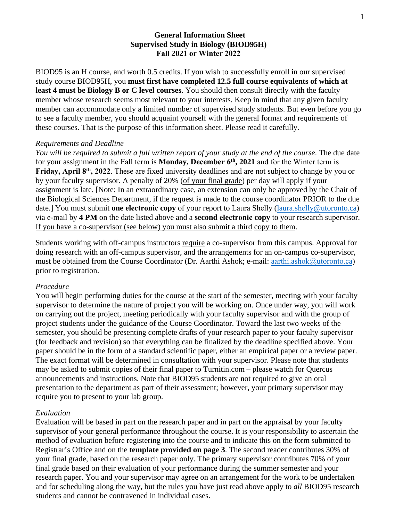## **General Information Sheet Supervised Study in Biology (BIOD95H) Fall 2021 or Winter 2022**

BIOD95 is an H course, and worth 0.5 credits. If you wish to successfully enroll in our supervised study course BIOD95H, you **must first have completed 12.5 full course equivalents of which at least 4 must be Biology B or C level courses**. You should then consult directly with the faculty member whose research seems most relevant to your interests. Keep in mind that any given faculty member can accommodate only a limited number of supervised study students. But even before you go to see a faculty member, you should acquaint yourself with the general format and requirements of these courses. That is the purpose of this information sheet. Please read it carefully.

### *Requirements and Deadline*

*You will be required to submit a full written report of your study at the end of the course*. The due date for your assignment in the Fall term is **Monday, December 6th, 2021** and for the Winter term is **Friday, April 8th, 2022**. These are fixed university deadlines and are not subject to change by you or by your faculty supervisor. A penalty of 20% (of your final grade) per day will apply if your assignment is late. [Note: In an extraordinary case, an extension can only be approved by the Chair of the Biological Sciences Department, if the request is made to the course coordinator PRIOR to the due date.] You must submit **one electronic copy** of your report to Laura Shelly (laura.shelly[@utoronto.ca\)](mailto:fay.kulmiye@utoronto.ca) via e-mail by **4 PM** on the date listed above and a **second electronic copy** to your research supervisor. If you have a co-supervisor (see below) you must also submit a third copy to them.

Students working with off-campus instructors require a co-supervisor from this campus. Approval for doing research with an off-campus supervisor, and the arrangements for an on-campus co-supervisor, must be obtained from the Course Coordinator (Dr. Aarthi Ashok; e-mail: [aarthi.ashok@utoronto.ca](mailto:aashok@utsc.utoronto.ca)) prior to registration.

## *Procedure*

You will begin performing duties for the course at the start of the semester, meeting with your faculty supervisor to determine the nature of project you will be working on. Once under way, you will work on carrying out the project, meeting periodically with your faculty supervisor and with the group of project students under the guidance of the Course Coordinator. Toward the last two weeks of the semester, you should be presenting complete drafts of your research paper to your faculty supervisor (for feedback and revision) so that everything can be finalized by the deadline specified above. Your paper should be in the form of a standard scientific paper, either an empirical paper or a review paper. The exact format will be determined in consultation with your supervisor. Please note that students may be asked to submit copies of their final paper to Turnitin.com – please watch for Quercus announcements and instructions. Note that BIOD95 students are not required to give an oral presentation to the department as part of their assessment; however, your primary supervisor may require you to present to your lab group.

## *Evaluation*

Evaluation will be based in part on the research paper and in part on the appraisal by your faculty supervisor of your general performance throughout the course. It is your responsibility to ascertain the method of evaluation before registering into the course and to indicate this on the form submitted to Registrar's Office and on the **template provided on page 3**. The second reader contributes 30% of your final grade, based on the research paper only. The primary supervisor contributes 70% of your final grade based on their evaluation of your performance during the summer semester and your research paper. You and your supervisor may agree on an arrangement for the work to be undertaken and for scheduling along the way, but the rules you have just read above apply to *all* BIOD95 research students and cannot be contravened in individual cases.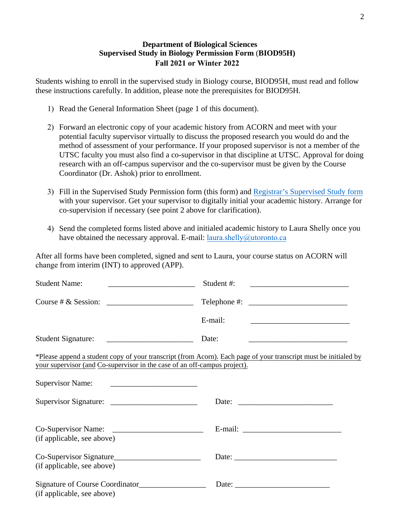# **Department of Biological Sciences Supervised Study in Biology Permission Form** (**BIOD95H) Fall 2021 or Winter 2022**

Students wishing to enroll in the supervised study in Biology course, BIOD95H, must read and follow these instructions carefully. In addition, please note the prerequisites for BIOD95H.

- 1) Read the General Information Sheet (page 1 of this document).
- 2) Forward an electronic copy of your academic history from ACORN and meet with your potential faculty supervisor virtually to discuss the proposed research you would do and the method of assessment of your performance. If your proposed supervisor is not a member of the UTSC faculty you must also find a co-supervisor in that discipline at UTSC. Approval for doing research with an off-campus supervisor and the co-supervisor must be given by the Course Coordinator (Dr. Ashok) prior to enrollment.
- 3) Fill in the Supervised Study Permission form (this form) and [Registrar's Supervised Study form](https://www.utsc.utoronto.ca/biosci/sites/utsc.utoronto.ca.biosci/files/u26/Supervised%20Study%20Form_0.pdf) with your supervisor. Get your supervisor to digitally initial your academic history. Arrange for co-supervision if necessary (see point 2 above for clarification).
- 4) Send the completed forms listed above and initialed academic history to Laura Shelly once you have obtained the necessary approval. E-mail:  $laura.shelly@utoronto.ca$  $laura.shelly@utoronto.ca$

After all forms have been completed, signed and sent to Laura, your course status on ACORN will change from interim (INT) to approved (APP).

| <b>Student Name:</b><br><u> 1990 - Johann Barbara, martin a</u>                                                                                  | Student #:                                                                                                       |
|--------------------------------------------------------------------------------------------------------------------------------------------------|------------------------------------------------------------------------------------------------------------------|
|                                                                                                                                                  | Telephone #: $\qquad \qquad$                                                                                     |
|                                                                                                                                                  | E-mail:<br><u> 1980 - Jan Barbara, margaret eta idazlea (h. 1980).</u>                                           |
|                                                                                                                                                  | Date:                                                                                                            |
| your supervisor (and Co-supervisor in the case of an off-campus project).                                                                        | *Please append a student copy of your transcript (from Acorn). Each page of your transcript must be initialed by |
| <b>Supervisor Name:</b><br><u> 1989 - Johann Harry Barn, mars ar breist fan de Fryske kommunent fan de Fryske kommunent fan de Fryske kommun</u> |                                                                                                                  |
|                                                                                                                                                  |                                                                                                                  |
| (if applicable, see above)                                                                                                                       |                                                                                                                  |
| Co-Supervisor Signature<br>(if applicable, see above)                                                                                            |                                                                                                                  |
| Signature of Course Coordinator<br>(if applicable, see above)                                                                                    |                                                                                                                  |